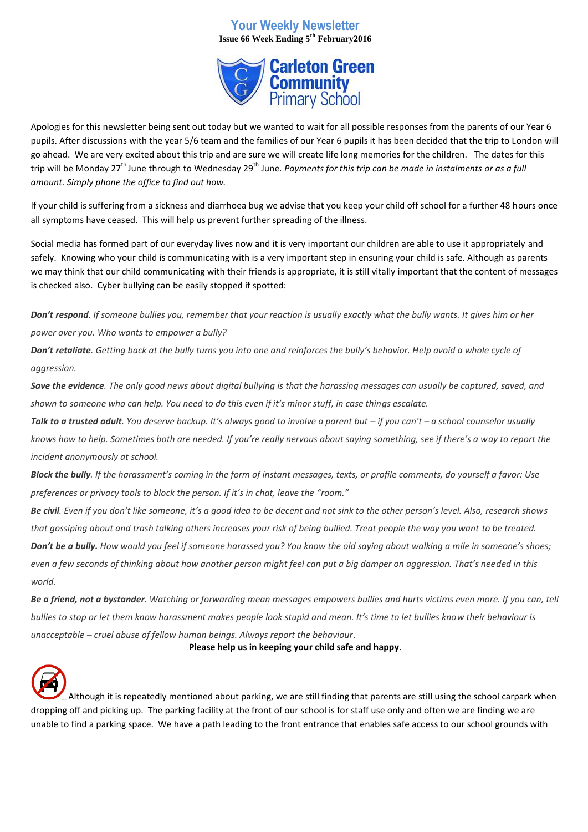# **Your Weekly Newsletter Issue 66 Week Ending 5th February2016**



Apologies for this newsletter being sent out today but we wanted to wait for all possible responses from the parents of our Year 6 pupils. After discussions with the year 5/6 team and the families of our Year 6 pupils it has been decided that the trip to London will go ahead. We are very excited about this trip and are sure we will create life long memories for the children. The dates for this trip will be Monday 27<sup>th</sup> June through to Wednesday 29<sup>th</sup> June. *Payments for this trip can be made in instalments or as a full amount. Simply phone the office to find out how.*

If your child is suffering from a sickness and diarrhoea bug we advise that you keep your child off school for a further 48 hours once all symptoms have ceased. This will help us prevent further spreading of the illness.

Social media has formed part of our everyday lives now and it is very important our children are able to use it appropriately and safely. Knowing who your child is communicating with is a very important step in ensuring your child is safe. Although as parents we may think that our child communicating with their friends is appropriate, it is still vitally important that the content of messages is checked also. Cyber bullying can be easily stopped if spotted:

*Don't respond. If someone bullies you, remember that your reaction is usually exactly what the bully wants. It gives him or her power over you. Who wants to empower a bully?*

*Don't retaliate. Getting back at the bully turns you into one and reinforces the bully's behavior. Help avoid a whole cycle of aggression.*

*Save the evidence. The only good news about digital bullying is that the harassing messages can usually be captured, saved, and shown to someone who can help. You need to do this even if it's minor stuff, in case things escalate.*

*Talk to a trusted adult. You deserve backup. It's always good to involve a parent but – if you can't – a school counselor usually knows how to help. Sometimes both are needed. If you're really nervous about saying something, see if there's a way to report the incident anonymously at school.*

*Block the bully. If the harassment's coming in the form of instant messages, texts, or profile comments, do yourself a favor: Use preferences or privacy tools to block the person. If it's in chat, leave the "room."*

*Be civil. Even if you don't like someone, it's a good idea to be decent and not sink to the other person's level. Also, research shows that gossiping about and trash talking others increases your risk of being bullied. Treat people the way you want to be treated.*

*Don't be a bully. How would you feel if someone harassed you? You know the old saying about walking a mile in someone's shoes; even a few seconds of thinking about how another person might feel can put a big damper on aggression. That's needed in this world.*

*Be a friend, not a bystander. Watching or forwarding mean messages empowers bullies and hurts victims even more. If you can, tell bullies to stop or let them know harassment makes people look stupid and mean. It's time to let bullies know their behaviour is unacceptable – cruel abuse of fellow human beings. Always report the behaviour*.

**Please help us in keeping your child safe and happy**.



Although it is repeatedly mentioned about parking, we are still finding that parents are still using the school carpark when dropping off and picking up. The parking facility at the front of our school is for staff use only and often we are finding we are unable to find a parking space. We have a path leading to the front entrance that enables safe access to our school grounds with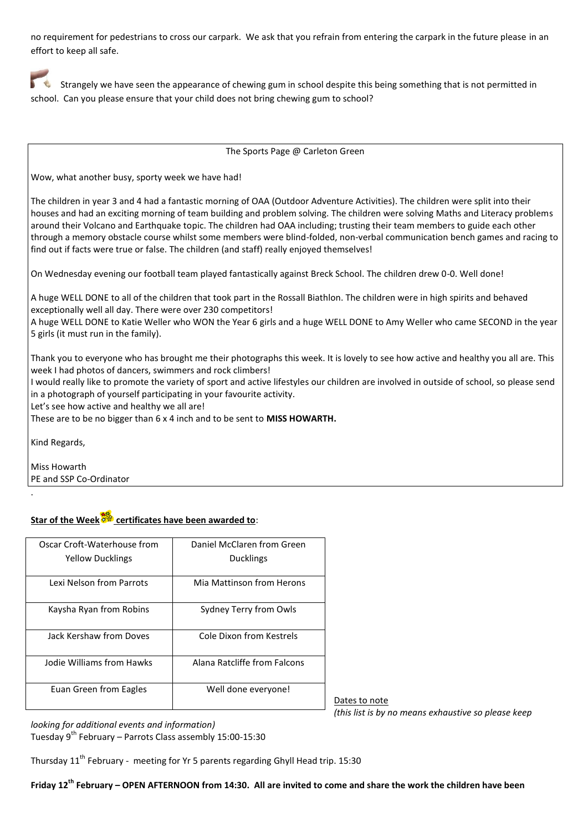no requirement for pedestrians to cross our carpark. We ask that you refrain from entering the carpark in the future please in an effort to keep all safe.

Strangely we have seen the appearance of chewing gum in school despite this being something that is not permitted in school. Can you please ensure that your child does not bring chewing gum to school?

The Sports Page @ Carleton Green

Wow, what another busy, sporty week we have had!

The children in year 3 and 4 had a fantastic morning of OAA (Outdoor Adventure Activities). The children were split into their houses and had an exciting morning of team building and problem solving. The children were solving Maths and Literacy problems around their Volcano and Earthquake topic. The children had OAA including; trusting their team members to guide each other through a memory obstacle course whilst some members were blind-folded, non-verbal communication bench games and racing to find out if facts were true or false. The children (and staff) really enjoyed themselves!

On Wednesday evening our football team played fantastically against Breck School. The children drew 0-0. Well done!

A huge WELL DONE to all of the children that took part in the Rossall Biathlon. The children were in high spirits and behaved exceptionally well all day. There were over 230 competitors!

A huge WELL DONE to Katie Weller who WON the Year 6 girls and a huge WELL DONE to Amy Weller who came SECOND in the year 5 girls (it must run in the family).

Thank you to everyone who has brought me their photographs this week. It is lovely to see how active and healthy you all are. This week I had photos of dancers, swimmers and rock climbers!

I would really like to promote the variety of sport and active lifestyles our children are involved in outside of school, so please send in a photograph of yourself participating in your favourite activity.

Let's see how active and healthy we all are!

These are to be no bigger than 6 x 4 inch and to be sent to **MISS HOWARTH.**

Kind Regards,

.

Miss Howarth PE and SSP Co-Ordinator

# **Star of the Week certificates have been awarded to**:

| Oscar Croft-Waterhouse from | Daniel McClaren from Green   |
|-----------------------------|------------------------------|
| <b>Yellow Ducklings</b>     | <b>Ducklings</b>             |
| Lexi Nelson from Parrots    | Mia Mattinson from Herons    |
| Kaysha Ryan from Robins     | Sydney Terry from Owls       |
| Jack Kershaw from Doves     | Cole Dixon from Kestrels     |
| Jodie Williams from Hawks   | Alana Ratcliffe from Falcons |
| Euan Green from Eagles      | Well done everyone!          |

Dates to note *(this list is by no means exhaustive so please keep* 

*looking for additional events and information)*

Tuesday  $9^{th}$  February – Parrots Class assembly 15:00-15:30

Thursday 11<sup>th</sup> February - meeting for Yr 5 parents regarding Ghyll Head trip. 15:30

**Friday 12th February – OPEN AFTERNOON from 14:30. All are invited to come and share the work the children have been**